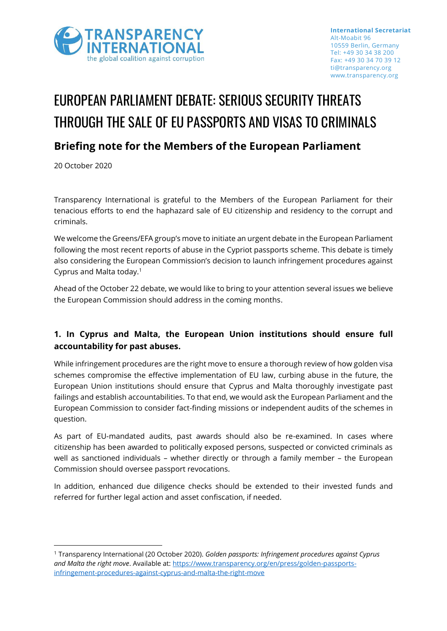

# EUROPEAN PARLIAMENT DEBATE: SERIOUS SECURITY THREATS THROUGH THE SALE OF EU PASSPORTS AND VISAS TO CRIMINALS

## **Briefing note for the Members of the European Parliament**

20 October 2020

Transparency International is grateful to the Members of the European Parliament for their tenacious efforts to end the haphazard sale of EU citizenship and residency to the corrupt and criminals.

We welcome the Greens/EFA group's move to initiate an urgent debate in the European Parliament following the most recent reports of abuse in the Cypriot passports scheme. This debate is timely also considering the European Commission's decision to launch infringement procedures against Cyprus and Malta today. 1

Ahead of the October 22 debate, we would like to bring to your attention several issues we believe the European Commission should address in the coming months.

### **1. In Cyprus and Malta, the European Union institutions should ensure full accountability for past abuses.**

While infringement procedures are the right move to ensure a thorough review of how golden visa schemes compromise the effective implementation of EU law, curbing abuse in the future, the European Union institutions should ensure that Cyprus and Malta thoroughly investigate past failings and establish accountabilities. To that end, we would ask the European Parliament and the European Commission to consider fact-finding missions or independent audits of the schemes in question.

As part of EU-mandated audits, past awards should also be re-examined. In cases where citizenship has been awarded to politically exposed persons, suspected or convicted criminals as well as sanctioned individuals – whether directly or through a family member – the European Commission should oversee passport revocations.

In addition, enhanced due diligence checks should be extended to their invested funds and referred for further legal action and asset confiscation, if needed.

<sup>1</sup> Transparency International (20 October 2020). *Golden passports: Infringement procedures against Cyprus and Malta the right move*. Available at: [https://www.transparency.org/en/press/golden-passports](https://www.transparency.org/en/press/golden-passports-infringement-procedures-against-cyprus-and-malta-the-right-move)[infringement-procedures-against-cyprus-and-malta-the-right-move](https://www.transparency.org/en/press/golden-passports-infringement-procedures-against-cyprus-and-malta-the-right-move)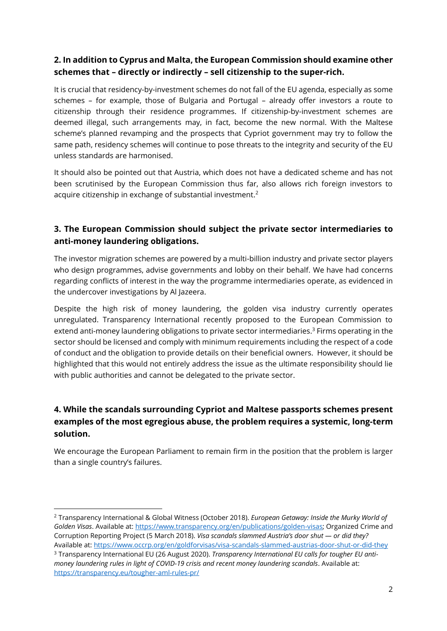#### **2. In addition to Cyprus and Malta, the European Commission should examine other schemes that – directly or indirectly – sell citizenship to the super-rich.**

It is crucial that residency-by-investment schemes do not fall of the EU agenda, especially as some schemes – for example, those of Bulgaria and Portugal – already offer investors a route to citizenship through their residence programmes. If citizenship-by-investment schemes are deemed illegal, such arrangements may, in fact, become the new normal. With the Maltese scheme's planned revamping and the prospects that Cypriot government may try to follow the same path, residency schemes will continue to pose threats to the integrity and security of the EU unless standards are harmonised.

It should also be pointed out that Austria, which does not have a dedicated scheme and has not been scrutinised by the European Commission thus far, also allows rich foreign investors to acquire citizenship in exchange of substantial investment.<sup>2</sup>

#### **3. The European Commission should subject the private sector intermediaries to anti-money laundering obligations.**

The investor migration schemes are powered by a multi-billion industry and private sector players who design programmes, advise governments and lobby on their behalf. We have had concerns regarding conflicts of interest in the way the programme intermediaries operate, as evidenced in the undercover investigations by Al Jazeera.

Despite the high risk of money laundering, the golden visa industry currently operates unregulated. Transparency International recently proposed to the European Commission to extend anti-money laundering obligations to private sector intermediaries. <sup>3</sup> Firms operating in the sector should be licensed and comply with minimum requirements including the respect of a code of conduct and the obligation to provide details on their beneficial owners. However, it should be highlighted that this would not entirely address the issue as the ultimate responsibility should lie with public authorities and cannot be delegated to the private sector.

#### **4. While the scandals surrounding Cypriot and Maltese passports schemes present examples of the most egregious abuse, the problem requires a systemic, long-term solution.**

We encourage the European Parliament to remain firm in the position that the problem is larger than a single country's failures.

<sup>2</sup> Transparency International & Global Witness (October 2018). *European Getaway: Inside the Murky World of Golden Visas*. Available at: [https://www.transparency.org/en/publications/golden-visas;](https://www.transparency.org/en/publications/golden-visas) Organized Crime and Corruption Reporting Project (5 March 2018). *Visa scandals slammed Austria's door shut — or did they?* Available at:<https://www.occrp.org/en/goldforvisas/visa-scandals-slammed-austrias-door-shut-or-did-they>

<sup>3</sup> Transparency International EU (26 August 2020). *Transparency International EU calls for tougher EU antimoney laundering rules in light of COVID-19 crisis and recent money laundering scandals. Available at:* <https://transparency.eu/tougher-aml-rules-pr/>